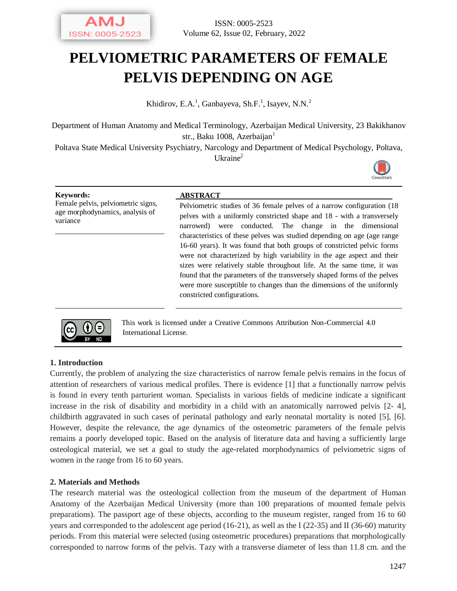

# **PELVIOMETRIC PARAMETERS OF FEMALE PELVIS DEPENDING ON AGE**

Khidirov, E.A.<sup>1</sup>, Ganbayeva, Sh.F.<sup>1</sup>, Isayev, N.N.<sup>2</sup>

Department of Human Anatomy and Medical Terminology, Azerbaijan Medical University, 23 Bakikhanov str., Baku 1008, Azerbaijan<sup>1</sup>

Poltava State Medical University Psychiatry, Narcology and Department of Medical Psychology, Poltava, Ukraine<sup>2</sup>



Female pelvis, pelviometric signs, age morphodynamics, analysis of variance

#### **Keywords: ABSTRACT**

Pelviometric studies of 36 female pelves of a narrow configuration (18 pelves with a uniformly constricted shape and 18 - with a transversely narrowed) were conducted. The change in the dimensional characteristics of these pelves was studied depending on age (age range 16-60 years). It was found that both groups of constricted pelvic forms were not characterized by high variability in the age aspect and their sizes were relatively stable throughout life. At the same time, it was found that the parameters of the transversely shaped forms of the pelves were more susceptible to changes than the dimensions of the uniformly constricted configurations.



This work is licensed under a Creative Commons Attribution Non-Commercial 4.0 International License.

## **1. Introduction**

Currently, the problem of analyzing the size characteristics of narrow female pelvis remains in the focus of attention of researchers of various medical profiles. There is evidence [1] that a functionally narrow pelvis is found in every tenth parturient woman. Specialists in various fields of medicine indicate a significant increase in the risk of disability and morbidity in a child with an anatomically narrowed pelvis [2- 4], childbirth aggravated in such cases of perinatal pathology and early neonatal mortality is noted [5], [6]. However, despite the relevance, the age dynamics of the osteometric parameters of the female pelvis remains a poorly developed topic. Based on the analysis of literature data and having a sufficiently large osteological material, we set a goal to study the age-related morphodynamics of pelviometric signs of women in the range from 16 to 60 years.

## **2. Materials and Methods**

The research material was the osteological collection from the museum of the department of Human Anatomy of the Azerbaijan Medical University (more than 100 preparations of mounted female pelvis preparations). The passport age of these objects, according to the museum register, ranged from 16 to 60 years and corresponded to the adolescent age period (16-21), as well as the I (22-35) and II (36-60) maturity periods. From this material were selected (using osteometric procedures) preparations that morphologically corresponded to narrow forms of the pelvis. Tazy with a transverse diameter of less than 11.8 cm. and the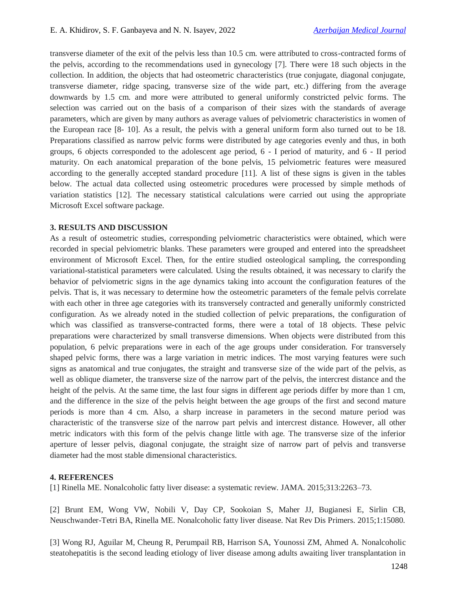transverse diameter of the exit of the pelvis less than 10.5 cm. were attributed to cross-contracted forms of the pelvis, according to the recommendations used in gynecology [7]. There were 18 such objects in the collection. In addition, the objects that had osteometric characteristics (true conjugate, diagonal conjugate, transverse diameter, ridge spacing, transverse size of the wide part, etc.) differing from the average downwards by 1.5 cm. and more were attributed to general uniformly constricted pelvic forms. The selection was carried out on the basis of a comparison of their sizes with the standards of average parameters, which are given by many authors as average values of pelviometric characteristics in women of the European race [8- 10]. As a result, the pelvis with a general uniform form also turned out to be 18. Preparations classified as narrow pelvic forms were distributed by age categories evenly and thus, in both groups, 6 objects corresponded to the adolescent age period, 6 - I period of maturity, and 6 - II period maturity. On each anatomical preparation of the bone pelvis, 15 pelviometric features were measured according to the generally accepted standard procedure [11]. A list of these signs is given in the tables below. The actual data collected using osteometric procedures were processed by simple methods of variation statistics [12]. The necessary statistical calculations were carried out using the appropriate Microsoft Excel software package.

#### **3. RESULTS AND DISCUSSION**

As a result of osteometric studies, corresponding pelviometric characteristics were obtained, which were recorded in special pelviometric blanks. These parameters were grouped and entered into the spreadsheet environment of Microsoft Excel. Then, for the entire studied osteological sampling, the corresponding variational-statistical parameters were calculated. Using the results obtained, it was necessary to clarify the behavior of pelviometric signs in the age dynamics taking into account the configuration features of the pelvis. That is, it was necessary to determine how the osteometric parameters of the female pelvis correlate with each other in three age categories with its transversely contracted and generally uniformly constricted configuration. As we already noted in the studied collection of pelvic preparations, the configuration of which was classified as transverse-contracted forms, there were a total of 18 objects. These pelvic preparations were characterized by small transverse dimensions. When objects were distributed from this population, 6 pelvic preparations were in each of the age groups under consideration. For transversely shaped pelvic forms, there was a large variation in metric indices. The most varying features were such signs as anatomical and true conjugates, the straight and transverse size of the wide part of the pelvis, as well as oblique diameter, the transverse size of the narrow part of the pelvis, the intercrest distance and the height of the pelvis. At the same time, the last four signs in different age periods differ by more than 1 cm, and the difference in the size of the pelvis height between the age groups of the first and second mature periods is more than 4 cm. Also, a sharp increase in parameters in the second mature period was characteristic of the transverse size of the narrow part pelvis and intercrest distance. However, all other metric indicators with this form of the pelvis change little with age. The transverse size of the inferior aperture of lesser pelvis, diagonal conjugate, the straight size of narrow part of pelvis and transverse diameter had the most stable dimensional characteristics.

#### **4. REFERENCES**

[1] Rinella ME. Nonalcoholic fatty liver disease: a systematic review. JAMA. 2015;313:2263–73.

[2] Brunt EM, Wong VW, Nobili V, Day CP, Sookoian S, Maher JJ, Bugianesi E, Sirlin CB, Neuschwander-Tetri BA, Rinella ME. Nonalcoholic fatty liver disease. Nat Rev Dis Primers. 2015;1:15080.

[3] Wong RJ, Aguilar M, Cheung R, Perumpail RB, Harrison SA, Younossi ZM, Ahmed A. Nonalcoholic steatohepatitis is the second leading etiology of liver disease among adults awaiting liver transplantation in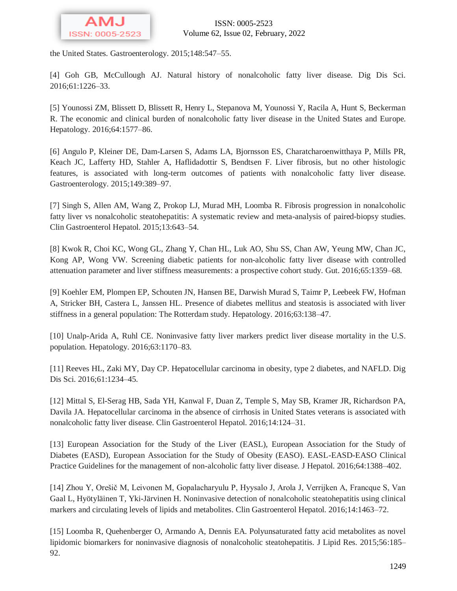

the United States. Gastroenterology. 2015;148:547–55.

[4] Goh GB, McCullough AJ. Natural history of nonalcoholic fatty liver disease. Dig Dis Sci. 2016;61:1226–33.

[5] Younossi ZM, Blissett D, Blissett R, Henry L, Stepanova M, Younossi Y, Racila A, Hunt S, Beckerman R. The economic and clinical burden of nonalcoholic fatty liver disease in the United States and Europe. Hepatology. 2016;64:1577–86.

[6] Angulo P, Kleiner DE, Dam-Larsen S, Adams LA, Bjornsson ES, Charatcharoenwitthaya P, Mills PR, Keach JC, Lafferty HD, Stahler A, Haflidadottir S, Bendtsen F. Liver fibrosis, but no other histologic features, is associated with long-term outcomes of patients with nonalcoholic fatty liver disease. Gastroenterology. 2015;149:389–97.

[7] Singh S, Allen AM, Wang Z, Prokop LJ, Murad MH, Loomba R. Fibrosis progression in nonalcoholic fatty liver vs nonalcoholic steatohepatitis: A systematic review and meta-analysis of paired-biopsy studies. Clin Gastroenterol Hepatol. 2015;13:643–54.

[8] Kwok R, Choi KC, Wong GL, Zhang Y, Chan HL, Luk AO, Shu SS, Chan AW, Yeung MW, Chan JC, Kong AP, Wong VW. Screening diabetic patients for non-alcoholic fatty liver disease with controlled attenuation parameter and liver stiffness measurements: a prospective cohort study. Gut. 2016;65:1359–68.

[9] Koehler EM, Plompen EP, Schouten JN, Hansen BE, Darwish Murad S, Taimr P, Leebeek FW, Hofman A, Stricker BH, Castera L, Janssen HL. Presence of diabetes mellitus and steatosis is associated with liver stiffness in a general population: The Rotterdam study. Hepatology. 2016;63:138–47.

[10] Unalp-Arida A, Ruhl CE. Noninvasive fatty liver markers predict liver disease mortality in the U.S. population. Hepatology. 2016;63:1170–83.

[11] Reeves HL, Zaki MY, Day CP. Hepatocellular carcinoma in obesity, type 2 diabetes, and NAFLD. Dig Dis Sci. 2016;61:1234–45.

[12] Mittal S, El-Serag HB, Sada YH, Kanwal F, Duan Z, Temple S, May SB, Kramer JR, Richardson PA, Davila JA. Hepatocellular carcinoma in the absence of cirrhosis in United States veterans is associated with nonalcoholic fatty liver disease. Clin Gastroenterol Hepatol. 2016;14:124–31.

[13] European Association for the Study of the Liver (EASL), European Association for the Study of Diabetes (EASD), European Association for the Study of Obesity (EASO). EASL-EASD-EASO Clinical Practice Guidelines for the management of non-alcoholic fatty liver disease. J Hepatol. 2016;64:1388–402.

[14] Zhou Y, Orešič M, Leivonen M, Gopalacharyulu P, Hyysalo J, Arola J, Verrijken A, Francque S, Van Gaal L, Hyötyläinen T, Yki-Järvinen H. Noninvasive detection of nonalcoholic steatohepatitis using clinical markers and circulating levels of lipids and metabolites. Clin Gastroenterol Hepatol. 2016;14:1463–72.

[15] Loomba R, Quehenberger O, Armando A, Dennis EA. Polyunsaturated fatty acid metabolites as novel lipidomic biomarkers for noninvasive diagnosis of nonalcoholic steatohepatitis. J Lipid Res. 2015;56:185– 92.